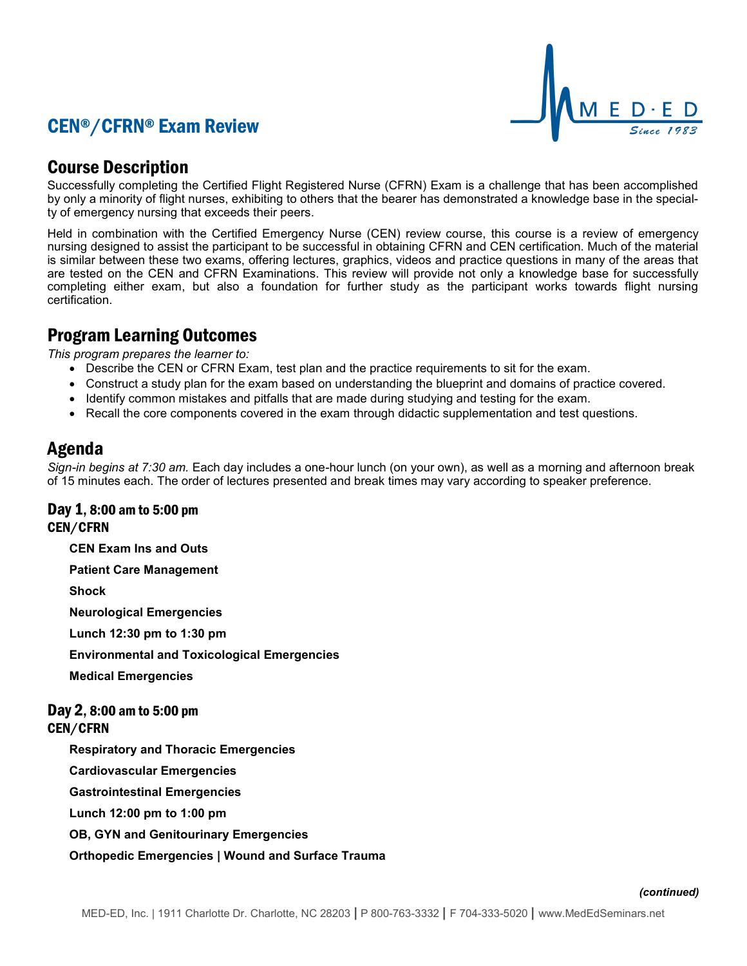# CEN®/CFRN® Exam Review



## Course Description

Successfully completing the Certified Flight Registered Nurse (CFRN) Exam is a challenge that has been accomplished by only a minority of flight nurses, exhibiting to others that the bearer has demonstrated a knowledge base in the specialty of emergency nursing that exceeds their peers.

Held in combination with the Certified Emergency Nurse (CEN) review course, this course is a review of emergency nursing designed to assist the participant to be successful in obtaining CFRN and CEN certification. Much of the material is similar between these two exams, offering lectures, graphics, videos and practice questions in many of the areas that are tested on the CEN and CFRN Examinations. This review will provide not only a knowledge base for successfully completing either exam, but also a foundation for further study as the participant works towards flight nursing certification.

## Program Learning Outcomes

*This program prepares the learner to:*

- Describe the CEN or CFRN Exam, test plan and the practice requirements to sit for the exam.
- Construct a study plan for the exam based on understanding the blueprint and domains of practice covered.
- Identify common mistakes and pitfalls that are made during studying and testing for the exam.
- Recall the core components covered in the exam through didactic supplementation and test questions.

## Agenda

*Sign-in begins at 7:30 am.* Each day includes a one-hour lunch (on your own), as well as a morning and afternoon break of 15 minutes each. The order of lectures presented and break times may vary according to speaker preference.

### Day 1, 8:00 am to 5:00 pm CEN/CFRN

**CEN Exam Ins and Outs**

**Patient Care Management**

**Shock**

**Neurological Emergencies**

**Lunch 12:30 pm to 1:30 pm**

**Environmental and Toxicological Emergencies**

**Medical Emergencies**

### Day 2, 8:00 am to 5:00 pm CEN/CFRN

**Respiratory and Thoracic Emergencies**

**Cardiovascular Emergencies**

**Gastrointestinal Emergencies**

**Lunch 12:00 pm to 1:00 pm**

**OB, GYN and Genitourinary Emergencies**

### **Orthopedic Emergencies | Wound and Surface Trauma**